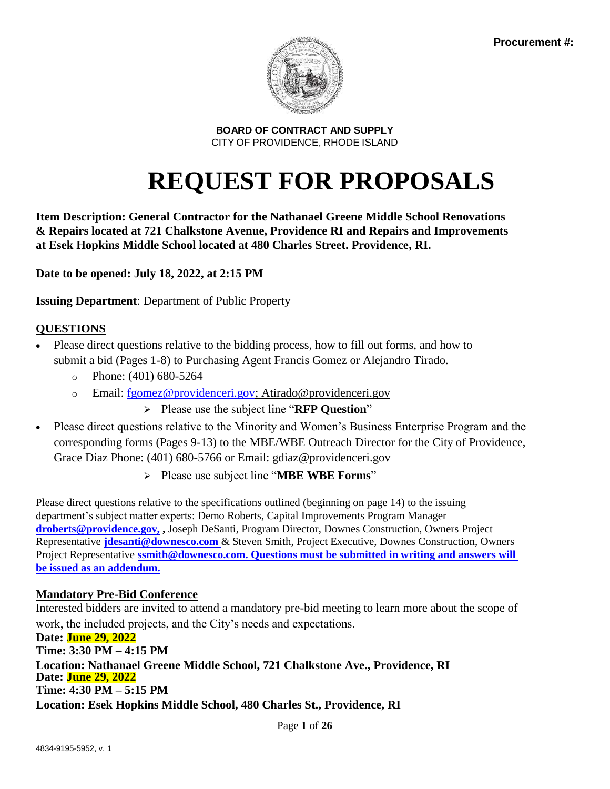

# **REQUEST FOR PROPOSALS**

**Item Description: General Contractor for the Nathanael Greene Middle School Renovations & Repairs located at 721 Chalkstone Avenue, Providence RI and Repairs and Improvements at Esek Hopkins Middle School located at 480 Charles Street. Providence, RI.** 

**Date to be opened: July 18, 2022, at 2:15 PM**

**Issuing Department**: Department of Public Property

# **QUESTIONS**

- Please direct questions relative to the bidding process, how to fill out forms, and how to submit a bid (Pages 1-8) to Purchasing Agent Francis Gomez or Alejandro Tirado.
	- $\degree$  Phone: (401) 680-5264
	- o Email: [fgomez@providenceri.gov;](mailto:fgomez@providenceri.gov) Atirado@providenceri.gov
		- ➢ Please use the subject line "**RFP Question**"
- Please direct questions relative to the Minority and Women's Business Enterprise Program and the corresponding forms (Pages 9-13) to the MBE/WBE Outreach Director for the City of Providence, Grace Diaz Phone: (401) 680-5766 or Email: [gdiaz@providenceri.gov](mailto:gdiaz@providenceri.gov)
	- ➢ Please use subject line "**MBE WBE Forms**"

Please direct questions relative to the specifications outlined (beginning on page 14) to the issuing department's subject matter experts: Demo Roberts, Capital Improvements Program Manager **[droberts@providence.gov,](mailto:droberts@providence.gov) ,** Joseph DeSanti, Program Director, Downes Construction, Owners Project Representative **[jdesanti@downesco.com](mailto:jdesanti@downesco.com)** & Steven Smith, Project Executive, Downes Construction, Owners Project Representative **[ssmith@downesco.com.](mailto:ssmith@downesco.com) Questions must be submitted in writing and answers will be issued as an addendum.** 

# **Mandatory Pre-Bid Conference**

Interested bidders are invited to attend a mandatory pre-bid meeting to learn more about the scope of work, the included projects, and the City's needs and expectations.

**Date: June 29, 2022 Time: 3:30 PM – 4:15 PM Location: Nathanael Greene Middle School, 721 Chalkstone Ave., Providence, RI Date: June 29, 2022 Time: 4:30 PM – 5:15 PM Location: Esek Hopkins Middle School, 480 Charles St., Providence, RI**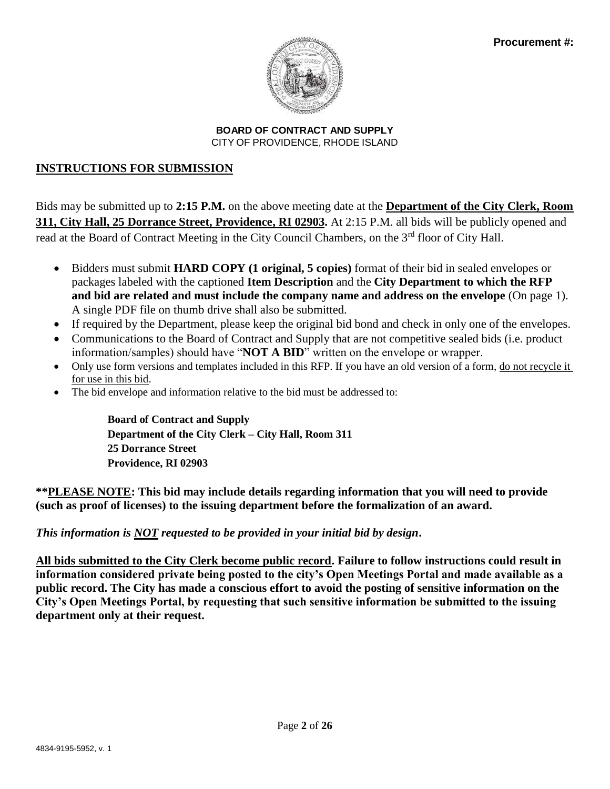

# **INSTRUCTIONS FOR SUBMISSION**

Bids may be submitted up to **2:15 P.M.** on the above meeting date at the **Department of the City Clerk, Room 311, City Hall, 25 Dorrance Street, Providence, RI 02903.** At 2:15 P.M. all bids will be publicly opened and read at the Board of Contract Meeting in the City Council Chambers, on the 3<sup>rd</sup> floor of City Hall.

- Bidders must submit **HARD COPY (1 original, 5 copies)** format of their bid in sealed envelopes or packages labeled with the captioned **Item Description** and the **City Department to which the RFP and bid are related and must include the company name and address on the envelope** (On page 1). A single PDF file on thumb drive shall also be submitted.
- If required by the Department, please keep the original bid bond and check in only one of the envelopes.
- Communications to the Board of Contract and Supply that are not competitive sealed bids (i.e. product information/samples) should have "**NOT A BID**" written on the envelope or wrapper.
- Only use form versions and templates included in this RFP. If you have an old version of a form, <u>do not recycle it</u> for use in this bid.
- The bid envelope and information relative to the bid must be addressed to:

**Board of Contract and Supply Department of the City Clerk – City Hall, Room 311 25 Dorrance Street Providence, RI 02903**

**\*\*PLEASE NOTE: This bid may include details regarding information that you will need to provide (such as proof of licenses) to the issuing department before the formalization of an award.** 

# *This information is NOT requested to be provided in your initial bid by design***.**

**All bids submitted to the City Clerk become public record. Failure to follow instructions could result in information considered private being posted to the city's Open Meetings Portal and made available as a public record. The City has made a conscious effort to avoid the posting of sensitive information on the City's Open Meetings Portal, by requesting that such sensitive information be submitted to the issuing department only at their request.**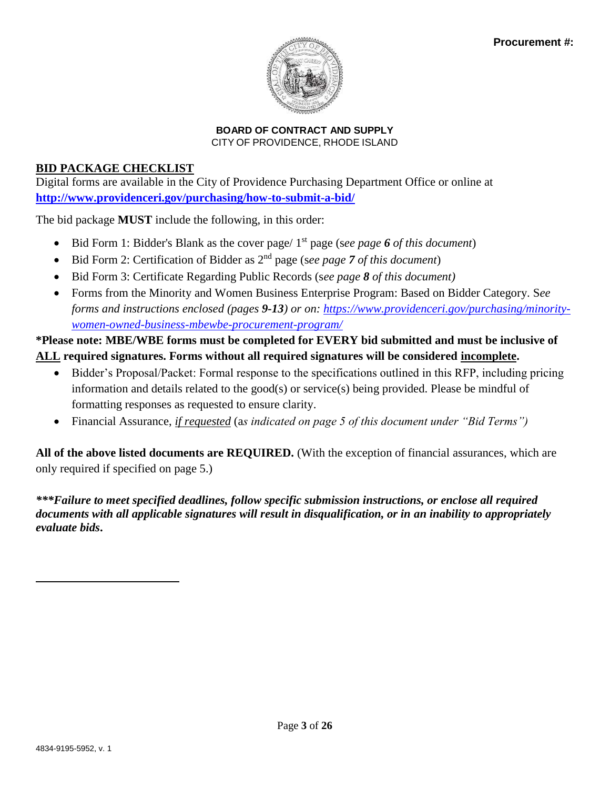

# **BID PACKAGE CHECKLIST**

Digital forms are available in the City of Providence Purchasing Department Office or online at **<http://www.providenceri.gov/purchasing/how-to-submit-a-bid/>**

The bid package **MUST** include the following, in this order:

- Bid Form 1: Bidder's Blank as the cover page/ 1<sup>st</sup> page (see page 6 of this document)
- Bid Form 2: Certification of Bidder as 2nd page (s*ee page 7 of this document*)
- Bid Form 3: Certificate Regarding Public Records (s*ee page 8 of this document)*
- Forms from the Minority and Women Business Enterprise Program: Based on Bidder Category. S*ee forms and instructions enclosed (pages 9-13) or on: [https://www.providenceri.gov/purchasing/minority](https://www.providenceri.gov/purchasing/minority-women-owned-business-mbewbe-procurement-program/)[women-owned-business-mbewbe-procurement-program/](https://www.providenceri.gov/purchasing/minority-women-owned-business-mbewbe-procurement-program/)*

**\*Please note: MBE/WBE forms must be completed for EVERY bid submitted and must be inclusive of ALL required signatures. Forms without all required signatures will be considered incomplete.**

- Bidder's Proposal/Packet: Formal response to the specifications outlined in this RFP, including pricing information and details related to the good(s) or service(s) being provided. Please be mindful of formatting responses as requested to ensure clarity.
- Financial Assurance, *if requested* (a*s indicated on page 5 of this document under "Bid Terms")*

**All of the above listed documents are REQUIRED.** (With the exception of financial assurances, which are only required if specified on page 5.)

*\*\*\*Failure to meet specified deadlines, follow specific submission instructions, or enclose all required documents with all applicable signatures will result in disqualification, or in an inability to appropriately evaluate bids***.**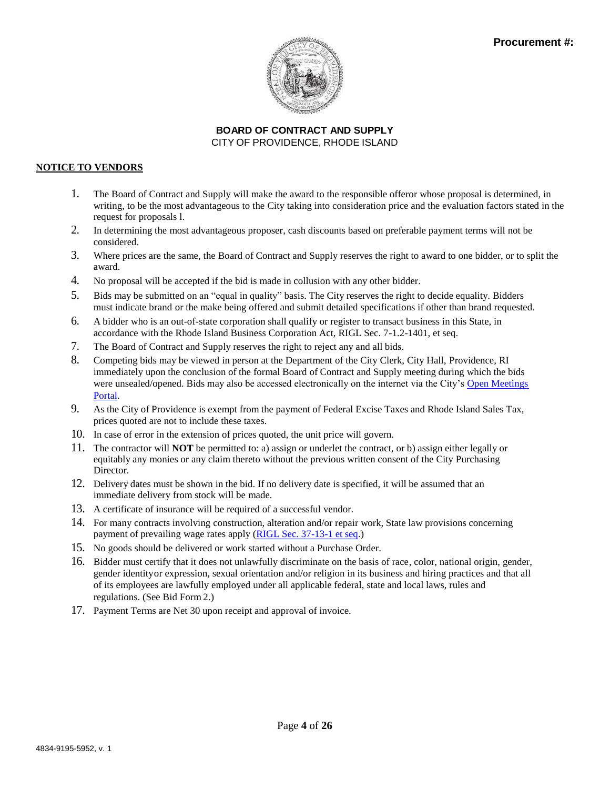

### **NOTICE TO VENDORS**

- 1. The Board of Contract and Supply will make the award to the responsible offeror whose proposal is determined, in writing, to be the most advantageous to the City taking into consideration price and the evaluation factors stated in the request for proposals l.
- 2. In determining the most advantageous proposer, cash discounts based on preferable payment terms will not be considered.
- 3. Where prices are the same, the Board of Contract and Supply reserves the right to award to one bidder, or to split the award.
- 4. No proposal will be accepted if the bid is made in collusion with any other bidder.
- 5. Bids may be submitted on an "equal in quality" basis. The City reserves the right to decide equality. Bidders must indicate brand or the make being offered and submit detailed specifications if other than brand requested.
- 6. A bidder who is an out-of-state corporation shall qualify or register to transact business in this State, in accordance with the Rhode Island Business Corporation Act, RIGL Sec. 7-1.2-1401, et seq.
- 7. The Board of Contract and Supply reserves the right to reject any and all bids.
- 8. Competing bids may be viewed in person at the Department of the City Clerk, City Hall, Providence, RI immediately upon the conclusion of the formal Board of Contract and Supply meeting during which the bids were unsealed/opened. Bids may also be accessed electronically on the internet via the City's [Open Meetings](http://providenceri.iqm2.com/Citizens/Default.aspx) [Portal.](http://providenceri.iqm2.com/Citizens/Default.aspx)
- 9. As the City of Providence is exempt from the payment of Federal Excise Taxes and Rhode Island Sales Tax, prices quoted are not to include these taxes.
- 10. In case of error in the extension of prices quoted, the unit price will govern.
- 11. The contractor will **NOT** be permitted to: a) assign or underlet the contract, or b) assign either legally or equitably any monies or any claim thereto without the previous written consent of the City Purchasing Director.
- 12. Delivery dates must be shown in the bid. If no delivery date is specified, it will be assumed that an immediate delivery from stock will be made.
- 13. A certificate of insurance will be required of a successful vendor.
- 14. For many contracts involving construction, alteration and/or repair work, State law provisions concerning payment of prevailing wage rates apply [\(RIGL Sec. 37-13-1 et](http://webserver.rilin.state.ri.us/Statutes/TITLE37/37-13/INDEX.HTM) se[q.\)](http://webserver.rilin.state.ri.us/Statutes/TITLE37/37-13/INDEX.HTM)
- 15. No goods should be delivered or work started without a Purchase Order.
- 16. Bidder must certify that it does not unlawfully discriminate on the basis of race, color, national origin, gender, gender identityor expression, sexual orientation and/or religion in its business and hiring practices and that all of its employees are lawfully employed under all applicable federal, state and local laws, rules and regulations. (See Bid Form 2.)
- 17. Payment Terms are Net 30 upon receipt and approval of invoice.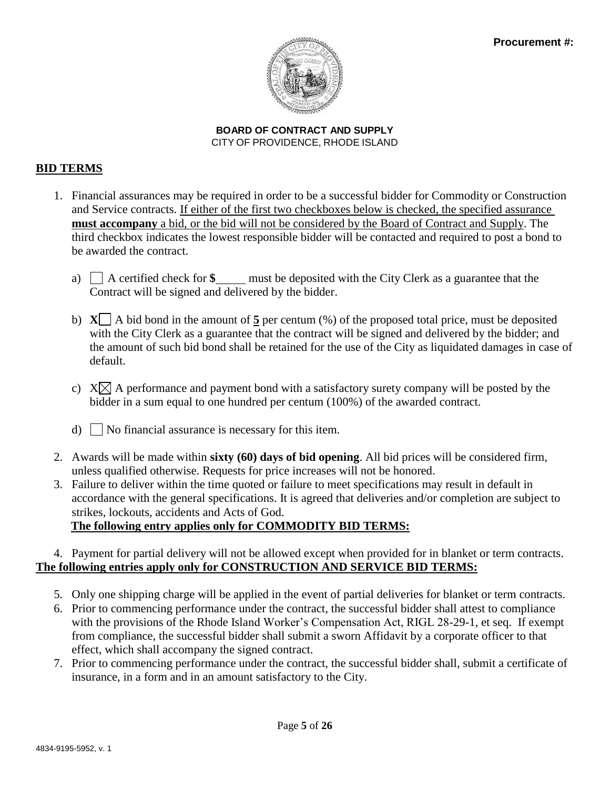

# **BID TERMS**

- 1. Financial assurances may be required in order to be a successful bidder for Commodity or Construction and Service contracts. If either of the first two checkboxes below is checked, the specified assurance **must accompany** a bid, or the bid will not be considered by the Board of Contract and Supply. The third checkbox indicates the lowest responsible bidder will be contacted and required to post a bond to be awarded the contract.
	- a)  $\Box$  A certified check for  $\$\_\_$  must be deposited with the City Clerk as a guarantee that the Contract will be signed and delivered by the bidder.
	- b)  $X \cap A$  bid bond in the amount of 5 per centum (%) of the proposed total price, must be deposited with the City Clerk as a guarantee that the contract will be signed and delivered by the bidder; and the amount of such bid bond shall be retained for the use of the City as liquidated damages in case of default.
	- c)  $X \times A$  performance and payment bond with a satisfactory surety company will be posted by the bidder in a sum equal to one hundred per centum (100%) of the awarded contract.
	- d)  $\Box$  No financial assurance is necessary for this item.
- 2. Awards will be made within **sixty (60) days of bid opening**. All bid prices will be considered firm, unless qualified otherwise. Requests for price increases will not be honored.
- 3. Failure to deliver within the time quoted or failure to meet specifications may result in default in accordance with the general specifications. It is agreed that deliveries and/or completion are subject to strikes, lockouts, accidents and Acts of God.

# **The following entry applies only for COMMODITY BID TERMS:**

# 4. Payment for partial delivery will not be allowed except when provided for in blanket or term contracts. **The following entries apply only for CONSTRUCTION AND SERVICE BID TERMS:**

- 5. Only one shipping charge will be applied in the event of partial deliveries for blanket or term contracts.
- 6. Prior to commencing performance under the contract, the successful bidder shall attest to compliance with the provisions of the Rhode Island Worker's Compensation Act, RIGL 28-29-1, et seq. If exempt from compliance, the successful bidder shall submit a sworn Affidavit by a corporate officer to that effect, which shall accompany the signed contract.
- 7. Prior to commencing performance under the contract, the successful bidder shall, submit a certificate of insurance, in a form and in an amount satisfactory to the City.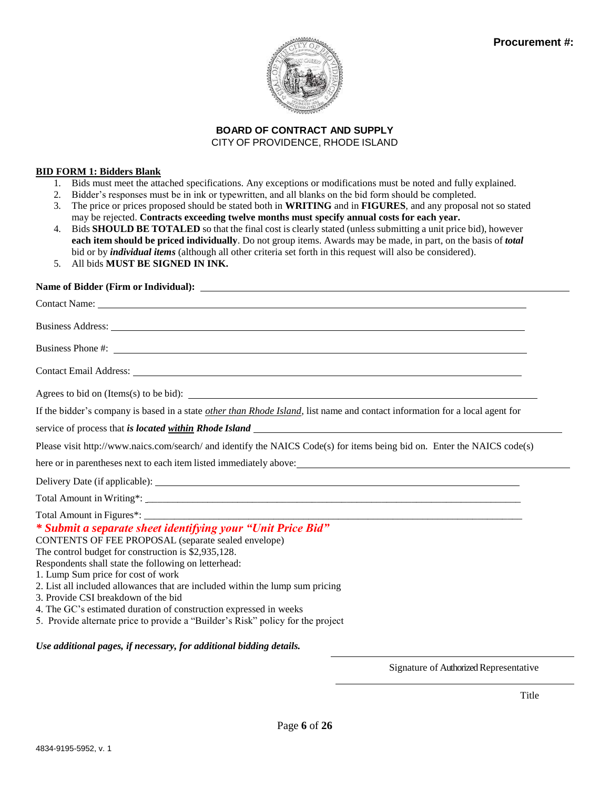

#### **BID FORM 1: Bidders Blank**

- 1. Bids must meet the attached specifications. Any exceptions or modifications must be noted and fully explained.
- 2. Bidder's responses must be in ink or typewritten, and all blanks on the bid form should be completed.
- 3. The price or prices proposed should be stated both in **WRITING** and in **FIGURES**, and any proposal not so stated may be rejected. **Contracts exceeding twelve months must specify annual costs for each year.**
- 4. Bids **SHOULD BE TOTALED** so that the final cost is clearly stated (unless submitting a unit price bid), however **each item should be priced individually**. Do not group items. Awards may be made, in part, on the basis of *total*  bid or by *individual items* (although all other criteria set forth in this request will also be considered).
- 5. All bids **MUST BE SIGNED IN INK.**

### **Name of Bidder (Firm or Individual):**

| Business Phone #:                                                                                                                                                                                                                    |
|--------------------------------------------------------------------------------------------------------------------------------------------------------------------------------------------------------------------------------------|
| Contact Email Address: No. 1996. The Contact Email Address:                                                                                                                                                                          |
| Agrees to bid on (Items(s) to be bid): $\qquad \qquad$                                                                                                                                                                               |
| If the bidder's company is based in a state <i>other than Rhode Island</i> , list name and contact information for a local agent for                                                                                                 |
|                                                                                                                                                                                                                                      |
| Please visit http://www.naics.com/search/ and identify the NAICS Code(s) for items being bid on. Enter the NAICS code(s)                                                                                                             |
| here or in parentheses next to each item listed immediately above: <u>the set of the set of the set of the set of the set of the set of the set of the set of the set of the set of the set of the set of the set of the set of </u> |
|                                                                                                                                                                                                                                      |
|                                                                                                                                                                                                                                      |
|                                                                                                                                                                                                                                      |
| * Submit a separate sheet identifying your "Unit Price Bid"                                                                                                                                                                          |
| CONTENTS OF FEE PROPOSAL (separate sealed envelope)                                                                                                                                                                                  |
| The control budget for construction is \$2,935,128.<br>Respondents shall state the following on letterhead:                                                                                                                          |
| 1. Lump Sum price for cost of work                                                                                                                                                                                                   |
| 2. List all included allowances that are included within the lump sum pricing                                                                                                                                                        |
| 3. Provide CSI breakdown of the bid<br>4. The GC's estimated duration of construction expressed in weeks                                                                                                                             |
| 5. Provide alternate price to provide a "Builder's Risk" policy for the project                                                                                                                                                      |
|                                                                                                                                                                                                                                      |

*Use additional pages, if necessary, for additional bidding details.*

Signature of Authorized Representative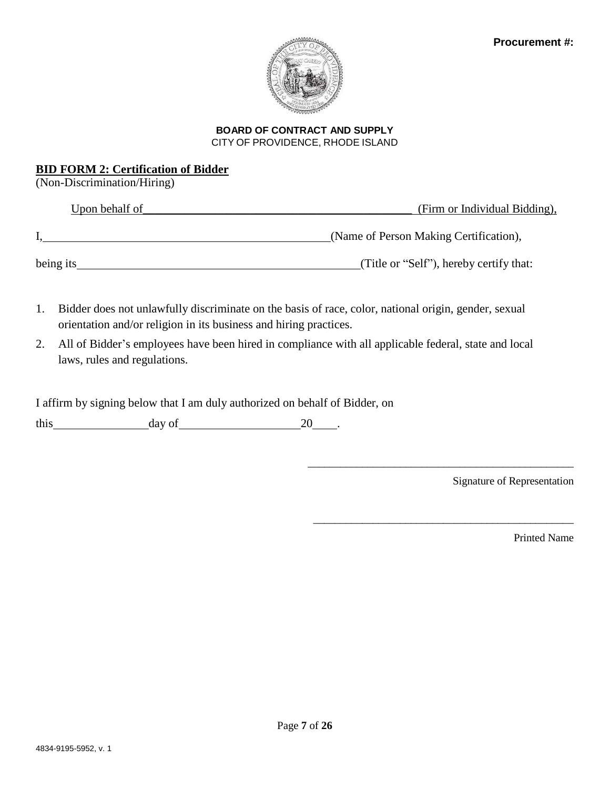

### **BID FORM 2: Certification of Bidder**

(Non-Discrimination/Hiring)

| Upon behalf of | (Firm or Individual Bidding),           |  |  |  |
|----------------|-----------------------------------------|--|--|--|
|                | (Name of Person Making Certification),  |  |  |  |
| being its      | (Title or "Self"), hereby certify that: |  |  |  |
|                |                                         |  |  |  |

- 1. Bidder does not unlawfully discriminate on the basis of race, color, national origin, gender, sexual orientation and/or religion in its business and hiring practices.
- 2. All of Bidder's employees have been hired in compliance with all applicable federal, state and local laws, rules and regulations.

I affirm by signing below that I am duly authorized on behalf of Bidder, on

this  $\qquad \qquad \text{day of} \qquad \qquad 20$ 

Signature of Representation

\_\_\_\_\_\_\_\_\_\_\_\_\_\_\_\_\_\_\_\_\_\_\_\_\_\_\_\_\_\_\_\_\_\_\_\_\_\_\_\_\_\_\_\_\_\_\_\_\_

\_\_\_\_\_\_\_\_\_\_\_\_\_\_\_\_\_\_\_\_\_\_\_\_\_\_\_\_\_\_\_\_\_\_\_\_\_\_\_\_\_\_\_\_\_\_\_\_

Printed Name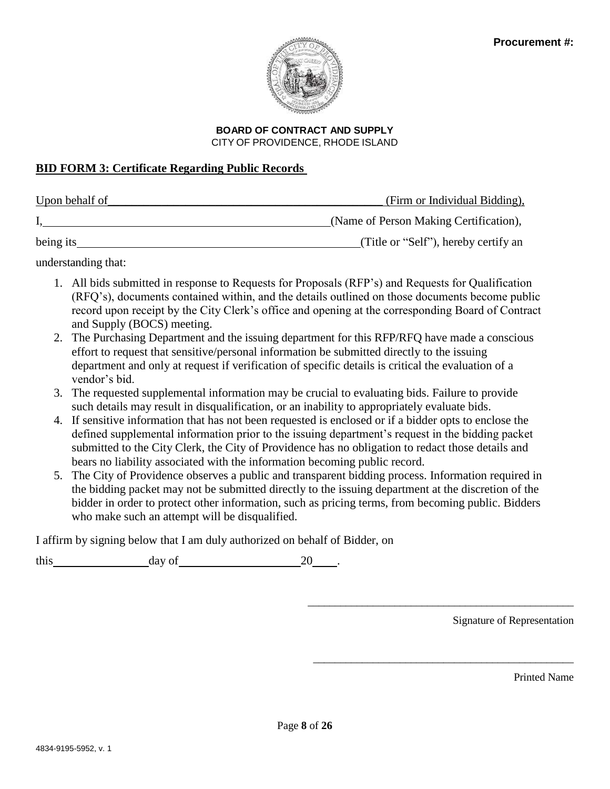

# **BOARD OF CONTRACT AND SUPPLY**

CITY OF PROVIDENCE, RHODE ISLAND

# **BID FORM 3: Certificate Regarding Public Records**

| Upon behalf of | (Firm or Individual Bidding),          |
|----------------|----------------------------------------|
|                | (Name of Person Making Certification), |
| being its      | (Title or "Self"), hereby certify an   |

understanding that:

- 1. All bids submitted in response to Requests for Proposals (RFP's) and Requests for Qualification (RFQ's), documents contained within, and the details outlined on those documents become public record upon receipt by the City Clerk's office and opening at the corresponding Board of Contract and Supply (BOCS) meeting.
- 2. The Purchasing Department and the issuing department for this RFP/RFQ have made a conscious effort to request that sensitive/personal information be submitted directly to the issuing department and only at request if verification of specific details is critical the evaluation of a vendor's bid.
- 3. The requested supplemental information may be crucial to evaluating bids. Failure to provide such details may result in disqualification, or an inability to appropriately evaluate bids.
- 4. If sensitive information that has not been requested is enclosed or if a bidder opts to enclose the defined supplemental information prior to the issuing department's request in the bidding packet submitted to the City Clerk, the City of Providence has no obligation to redact those details and bears no liability associated with the information becoming public record.
- 5. The City of Providence observes a public and transparent bidding process. Information required in the bidding packet may not be submitted directly to the issuing department at the discretion of the bidder in order to protect other information, such as pricing terms, from becoming public. Bidders who make such an attempt will be disqualified.

I affirm by signing below that I am duly authorized on behalf of Bidder, on

this day of 20 .

Signature of Representation

\_\_\_\_\_\_\_\_\_\_\_\_\_\_\_\_\_\_\_\_\_\_\_\_\_\_\_\_\_\_\_\_\_\_\_\_\_\_\_\_\_\_\_\_\_\_\_\_\_

\_\_\_\_\_\_\_\_\_\_\_\_\_\_\_\_\_\_\_\_\_\_\_\_\_\_\_\_\_\_\_\_\_\_\_\_\_\_\_\_\_\_\_\_\_\_\_\_

Printed Name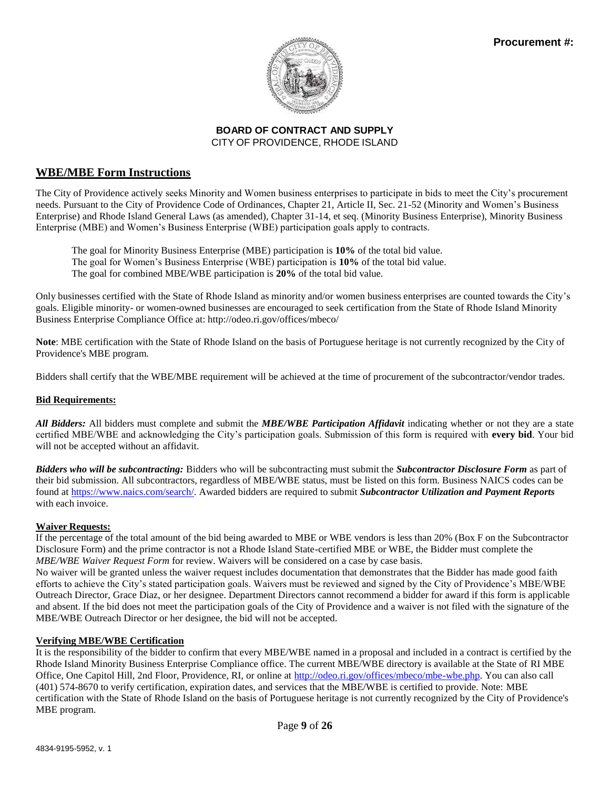

### **WBE/MBE Form Instructions**

The City of Providence actively seeks Minority and Women business enterprises to participate in bids to meet the City's procurement needs. Pursuant to the City of Providence Code of Ordinances, Chapter 21, Article II, Sec. 21-52 (Minority and Women's Business Enterprise) and Rhode Island General Laws (as amended), Chapter 31-14, et seq. (Minority Business Enterprise), Minority Business Enterprise (MBE) and Women's Business Enterprise (WBE) participation goals apply to contracts.

The goal for Minority Business Enterprise (MBE) participation is **10%** of the total bid value. The goal for Women's Business Enterprise (WBE) participation is **10%** of the total bid value. The goal for combined MBE/WBE participation is **20%** of the total bid value.

Only businesses certified with the State of Rhode Island as minority and/or women business enterprises are counted towards the City's goals. Eligible minority- or women-owned businesses are encouraged to seek certification from the State of Rhode Island Minority Business Enterprise Compliance Office at: <http://odeo.ri.gov/offices/mbeco/>

**Note**: MBE certification with the State of Rhode Island on the basis of Portuguese heritage is not currently recognized by the City of Providence's MBE program.

Bidders shall certify that the WBE/MBE requirement will be achieved at the time of procurement of the subcontractor/vendor trades.

### **Bid Requirements:**

*All Bidders:* All bidders must complete and submit the *MBE/WBE Participation Affidavit* indicating whether or not they are a state certified MBE/WBE and acknowledging the City's participation goals. Submission of this form is required with **every bid**. Your bid will not be accepted without an affidavit.

*Bidders who will be subcontracting:* Bidders who will be subcontracting must submit the *Subcontractor Disclosure Form* as part of their bid submission. All subcontractors, regardless of MBE/WBE status, must be listed on this form. Business NAICS codes can be found at [https://www.naics.com/search/.](https://www.naics.com/search/) Awarded bidders are required to submit *Subcontractor Utilization and Payment Reports*  with each invoice

### **Waiver Requests:**

If the percentage of the total amount of the bid being awarded to MBE or WBE vendors is less than 20% (Box F on the Subcontractor Disclosure Form) and the prime contractor is not a Rhode Island State-certified MBE or WBE, the Bidder must complete the *MBE/WBE Waiver Request Form* for review. Waivers will be considered on a case by case basis.

No waiver will be granted unless the waiver request includes documentation that demonstrates that the Bidder has made good faith efforts to achieve the City's stated participation goals. Waivers must be reviewed and signed by the City of Providence's MBE/WBE Outreach Director, Grace Diaz, or her designee. Department Directors cannot recommend a bidder for award if this form is applicable and absent. If the bid does not meet the participation goals of the City of Providence and a waiver is not filed with the signature of the MBE/WBE Outreach Director or her designee, the bid will not be accepted.

### **Verifying MBE/WBE Certification**

It is the responsibility of the bidder to confirm that every MBE/WBE named in a proposal and included in a contract is certified by the Rhode Island Minority Business Enterprise Compliance office. The current MBE/WBE directory is available at the State of RI MBE Office, One Capitol Hill, 2nd Floor, Providence, RI, or online at [http://odeo.ri.gov/offices/mbeco/mbe-wbe.php. Y](http://odeo.ri.gov/offices/mbeco/mbe-wbe.php)ou can also call (401) 574-8670 to verify certification, expiration dates, and services that the MBE/WBE is certified to provide. Note: MBE certification with the State of Rhode Island on the basis of Portuguese heritage is not currently recognized by the City of Providence's MBE program.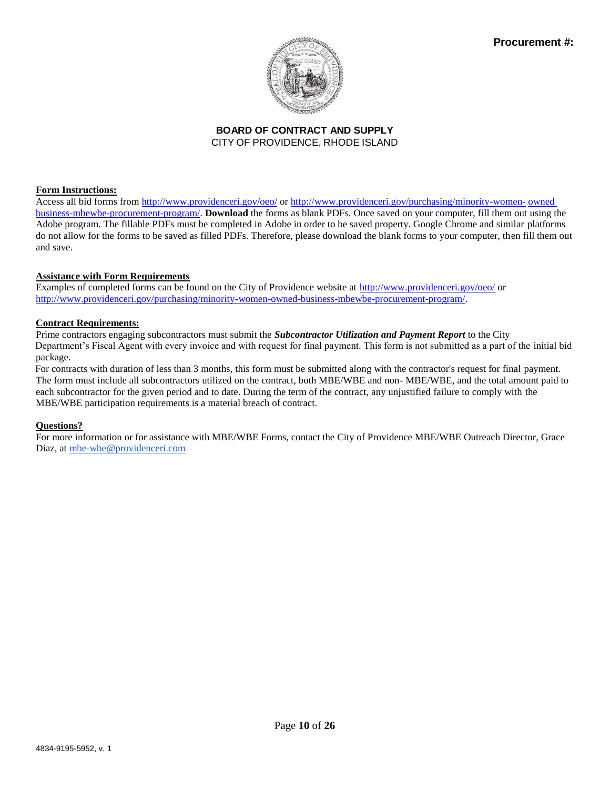

### **Form Instructions:**

Access all bid forms from<http://www.providenceri.gov/oeo/> or [http://www.providenceri.gov/purchasing/minority-women-](http://www.providenceri.gov/purchasing/minority-women-owned-business-mbewbe-procurement-program/) [owned](http://www.providenceri.gov/purchasing/minority-women-owned-business-mbewbe-procurement-program/) [business-mbewbe-procurement-program/.](http://www.providenceri.gov/purchasing/minority-women-owned-business-mbewbe-procurement-program/) **Download** the forms as blank PDFs. Once saved on your computer, fill them out using the Adobe program. The fillable PDFs must be completed in Adobe in order to be saved property. Google Chrome and similar platforms do not allow for the forms to be saved as filled PDFs. Therefore, please download the blank forms to your computer, then fill them out and save.

### **Assistance with Form Requirements**

Examples of completed forms can be found on the City of Providence website at<http://www.providenceri.gov/oeo/> or [http://www.providenceri.gov/purchasing/minority-women-owned-business-mbewbe-procurement-program/.](http://www.providenceri.gov/purchasing/minority-women-owned-business-mbewbe-procurement-program/)

### **Contract Requirements:**

Prime contractors engaging subcontractors must submit the *Subcontractor Utilization and Payment Report* to the City Department's Fiscal Agent with every invoice and with request for final payment. This form is not submitted as a part of the initial bid package.

For contracts with duration of less than 3 months, this form must be submitted along with the contractor's request for final payment. The form must include all subcontractors utilized on the contract, both MBE/WBE and non- MBE/WBE, and the total amount paid to each subcontractor for the given period and to date. During the term of the contract, any unjustified failure to comply with the MBE/WBE participation requirements is a material breach of contract.

### **Questions?**

For more information or for assistance with MBE/WBE Forms, contact the City of Providence MBE/WBE Outreach Director, Grace Diaz, a[t mbe-wbe@providenceri.com](mailto:mbe-wbe@providenceri.com)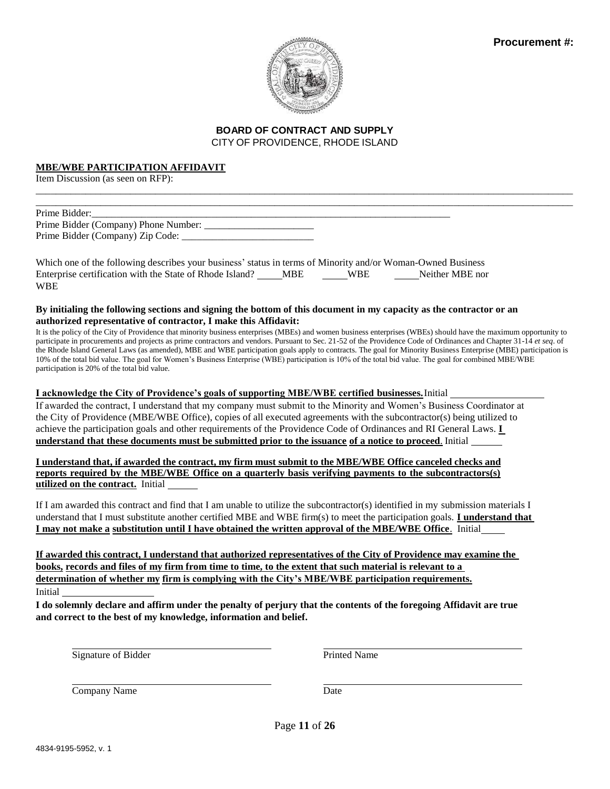

\_\_\_\_\_\_\_\_\_\_\_\_\_\_\_\_\_\_\_\_\_\_\_\_\_\_\_\_\_\_\_\_\_\_\_\_\_\_\_\_\_\_\_\_\_\_\_\_\_\_\_\_\_\_\_\_\_\_\_\_\_\_\_\_\_\_\_\_\_\_\_\_\_\_\_\_\_\_\_\_\_\_\_\_\_\_\_\_\_\_\_\_\_\_\_\_\_\_\_\_\_\_\_\_\_\_\_\_ \_\_\_\_\_\_\_\_\_\_\_\_\_\_\_\_\_\_\_\_\_\_\_\_\_\_\_\_\_\_\_\_\_\_\_\_\_\_\_\_\_\_\_\_\_\_\_\_\_\_\_\_\_\_\_\_\_\_\_\_\_\_\_\_\_\_\_\_\_\_\_\_\_\_\_\_\_\_\_\_\_\_\_\_\_\_\_\_\_\_\_\_\_\_\_\_\_\_\_\_\_\_\_\_\_\_\_\_

### **MBE/WBE PARTICIPATION AFFIDAVIT**

Item Discussion (as seen on RFP):

| Prime Bidder:                        |  |
|--------------------------------------|--|
| Prime Bidder (Company) Phone Number: |  |
| Prime Bidder (Company) Zip Code:     |  |

Which one of the following describes your business' status in terms of Minority and/or Woman-Owned Business Enterprise certification with the State of Rhode Island? \_\_\_\_\_MBE \_\_\_\_\_\_WBE \_\_\_\_\_\_\_Neither MBE nor WBE

#### **By initialing the following sections and signing the bottom of this document in my capacity as the contractor or an authorized representative of contractor, I make this Affidavit:**

It is the policy of the City of Providence that minority business enterprises (MBEs) and women business enterprises (WBEs) should have the maximum opportunity to participate in procurements and projects as prime contractors and vendors. Pursuant to Sec. 21-52 of the Providence Code of Ordinances and Chapter 31-14 *et seq*. of the Rhode Island General Laws (as amended), MBE and WBE participation goals apply to contracts. The goal for Minority Business Enterprise (MBE) participation is 10% of the total bid value. The goal for Women's Business Enterprise (WBE) participation is 10% of the total bid value. The goal for combined MBE/WBE participation is 20% of the total bid value.

**I acknowledge the City of Providence's goals of supporting MBE/WBE certified businesses.**Initial

If awarded the contract, I understand that my company must submit to the Minority and Women's Business Coordinator at the City of Providence (MBE/WBE Office), copies of all executed agreements with the subcontractor(s) being utilized to achieve the participation goals and other requirements of the Providence Code of Ordinances and RI General Laws. **I understand that these documents must be submitted prior to the issuance of a notice to proceed**. Initial

I understand that, if awarded the contract, my firm must submit to the MBE/WBE Office canceled checks and **reports required by the MBE/WBE Office on a quarterly basis verifying payments to the subcontractors(s) utilized on the contract.** Initial

If I am awarded this contract and find that I am unable to utilize the subcontractor(s) identified in my submission materials I understand that I must substitute another certified MBE and WBE firm(s) to meet the participation goals. **I understand that I may not make a substitution until I have obtained the written approval of the MBE/WBE Office**. Initial

**If awarded this contract, I understand that authorized representatives of the City of Providence may examine the books, records and files of my firm from time to time, to the extent that such material is relevant to a determination of whether my firm is complying with the City's MBE/WBE participation requirements.** Initial

**I do solemnly declare and affirm under the penalty of perjury that the contents of the foregoing Affidavit are true and correct to the best of my knowledge, information and belief.**

Signature of Bidder Printed Name

Company Name Date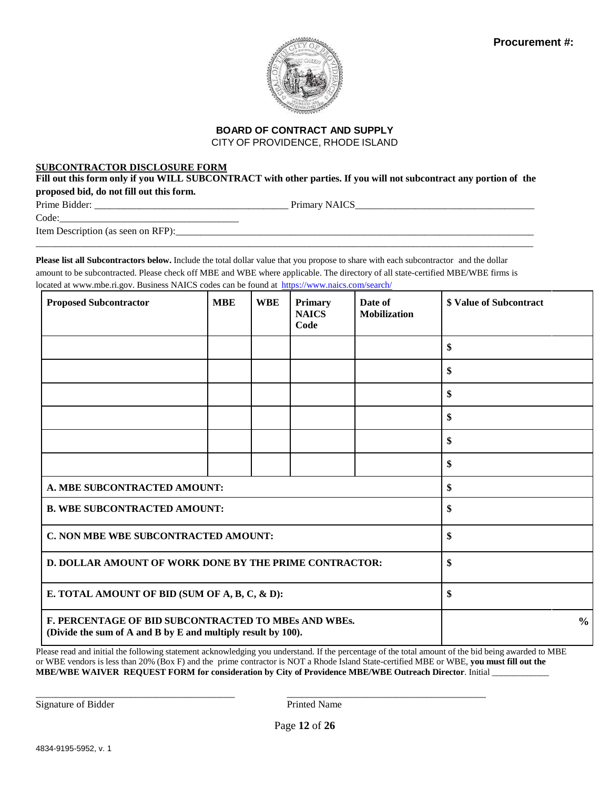

### **BOARD OF CONTRACT AND SUPPLY**

CITY OF PROVIDENCE, RHODE ISLAND

### **SUBCONTRACTOR DISCLOSURE FORM**

Fill out this form only if you WILL SUBCONTRACT with other parties. If you will not subcontract any portion of the **proposed bid, do not fill out this form.**

Prime Bidder: \_\_\_\_\_\_\_\_\_\_\_\_\_\_\_\_\_\_\_\_\_\_\_\_\_\_\_\_\_\_\_\_\_\_\_\_\_\_\_ Primary NAICS\_\_\_\_\_\_\_\_\_\_\_\_\_\_\_\_\_\_\_\_\_\_\_\_\_\_\_\_\_\_\_\_\_\_\_\_

Code:

Item Description (as seen on RFP):

**Please list all Subcontractors below.** Include the total dollar value that you propose to share with each subcontractor and the dollar amount to be subcontracted. Please check off MBE and WBE where applicable. The directory of all state-certified MBE/WBE firms is located at [www.mbe.ri.gov.](http://www.mbe.ri.gov/) Business NAICS codes can be found at <https://www.naics.com/search/>

\_\_\_\_\_\_\_\_\_\_\_\_\_\_\_\_\_\_\_\_\_\_\_\_\_\_\_\_\_\_\_\_\_\_\_\_\_\_\_\_\_\_\_\_\_\_\_\_\_\_\_\_\_\_\_\_\_\_\_\_\_\_\_\_\_\_\_\_\_\_\_\_\_\_\_\_\_\_\_\_\_\_\_\_\_\_\_\_\_\_\_\_\_\_\_\_\_\_\_\_

| <b>Proposed Subcontractor</b>                                                                                        | <b>MBE</b>                           | <b>WBE</b> | <b>Primary</b><br><b>NAICS</b><br>Code | Date of<br><b>Mobilization</b> | <b>\$ Value of Subcontract</b> |
|----------------------------------------------------------------------------------------------------------------------|--------------------------------------|------------|----------------------------------------|--------------------------------|--------------------------------|
|                                                                                                                      |                                      |            |                                        |                                | \$                             |
|                                                                                                                      |                                      |            |                                        |                                | \$                             |
|                                                                                                                      |                                      |            |                                        |                                | \$                             |
|                                                                                                                      |                                      |            |                                        |                                | \$                             |
|                                                                                                                      |                                      |            |                                        |                                | \$                             |
|                                                                                                                      |                                      |            |                                        |                                | \$                             |
| A. MBE SUBCONTRACTED AMOUNT:                                                                                         |                                      |            |                                        |                                | \$                             |
| <b>B. WBE SUBCONTRACTED AMOUNT:</b>                                                                                  |                                      |            |                                        | \$                             |                                |
|                                                                                                                      | C. NON MBE WBE SUBCONTRACTED AMOUNT: |            |                                        |                                | \$                             |
| <b>D. DOLLAR AMOUNT OF WORK DONE BY THE PRIME CONTRACTOR:</b>                                                        |                                      |            |                                        | \$                             |                                |
| E. TOTAL AMOUNT OF BID (SUM OF A, B, C, & D):                                                                        |                                      |            |                                        | \$                             |                                |
| F. PERCENTAGE OF BID SUBCONTRACTED TO MBEs AND WBEs.<br>(Divide the sum of A and B by E and multiply result by 100). |                                      |            |                                        |                                | $\frac{6}{6}$                  |

Please read and initial the following statement acknowledging you understand. If the percentage of the total amount of the bid being awarded to MBE or WBE vendors is less than 20% (Box F) and the prime contractor is NOT a Rhode Island State-certified MBE or WBE, **you must fill out the MBE/WBE WAIVER REQUEST FORM for consideration by City of Providence MBE/WBE Outreach Director**. Initial \_\_\_\_\_\_\_\_\_\_\_\_\_

\_\_\_\_\_\_\_\_\_\_\_\_\_\_\_\_\_\_\_\_\_\_\_\_\_\_\_\_\_\_\_\_\_\_\_\_\_\_\_\_ \_\_\_\_\_\_\_\_\_\_\_\_\_\_\_\_\_\_\_\_\_\_\_\_\_\_\_\_\_\_\_\_\_\_\_\_\_\_\_\_

Signature of Bidder Printed Name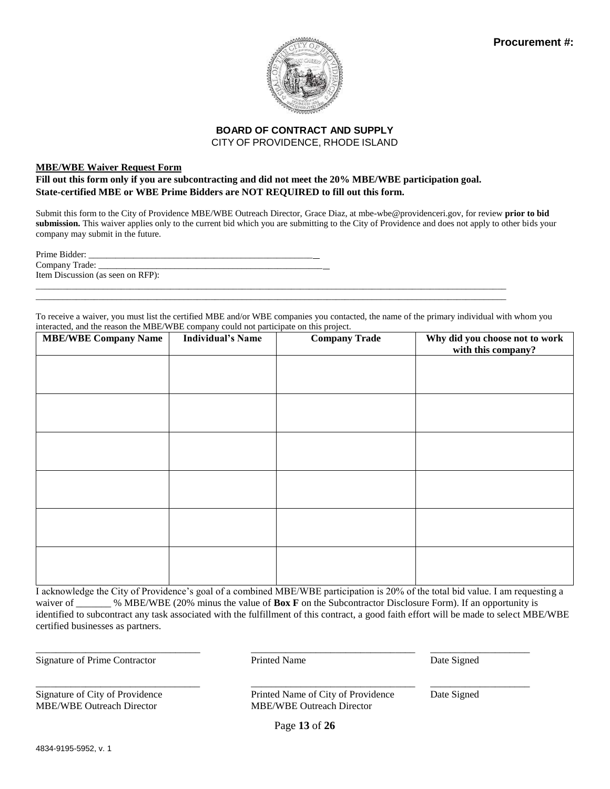

#### **MBE/WBE Waiver Request Form**

### **Fill out this form only if you are subcontracting and did not meet the 20% MBE/WBE participation goal. State-certified MBE or WBE Prime Bidders are NOT REQUIRED to fill out this form.**

Submit this form to the City of Providence MBE/WBE Outreach Director, Grace Diaz, at mbe-wbe@providenceri.gov, for review **prior to bid submission.** This waiver applies only to the current bid which you are submitting to the City of Providence and does not apply to other bids your company may submit in the future.

To receive a waiver, you must list the certified MBE and/or WBE companies you contacted, the name of the primary individual with whom you interacted, and the reason the MBE/WBE company could not participate on this project.

\_\_\_\_\_\_\_\_\_\_\_\_\_\_\_\_\_\_\_\_\_\_\_\_\_\_\_\_\_\_\_\_\_\_\_\_\_\_\_\_\_\_\_\_\_\_\_\_\_\_\_\_\_\_\_\_\_\_\_\_\_\_\_\_\_\_\_\_\_\_\_\_\_\_\_\_\_\_\_\_\_\_\_\_\_\_\_\_\_\_\_\_\_\_\_\_\_\_\_\_\_\_\_\_\_

| <b>MBE/WBE Company Name</b> | <b>Individual's Name</b> | <b>Company Trade</b> | Why did you choose not to work<br>with this company? |
|-----------------------------|--------------------------|----------------------|------------------------------------------------------|
|                             |                          |                      |                                                      |
|                             |                          |                      |                                                      |
|                             |                          |                      |                                                      |
|                             |                          |                      |                                                      |
|                             |                          |                      |                                                      |
|                             |                          |                      |                                                      |
|                             |                          |                      |                                                      |
|                             |                          |                      |                                                      |
|                             |                          |                      |                                                      |
|                             |                          |                      |                                                      |
|                             |                          |                      |                                                      |

I acknowledge the City of Providence's goal of a combined MBE/WBE participation is 20% of the total bid value. I am requesting a waiver of \_\_\_\_\_\_ % MBE/WBE (20% minus the value of **Box F** on the Subcontractor Disclosure Form). If an opportunity is identified to subcontract any task associated with the fulfillment of this contract, a good faith effort will be made to select MBE/WBE certified businesses as partners.

Signature of Prime Contractor **Prime Contractor** Printed Name Date Signed

\_\_\_\_\_\_\_\_\_\_\_\_\_\_\_\_\_\_\_\_\_\_\_\_\_\_\_\_\_\_\_\_\_ \_\_\_\_\_\_\_\_\_\_\_\_\_\_\_\_\_\_\_\_\_\_\_\_\_\_\_\_\_\_\_\_\_ \_\_\_\_\_\_\_\_\_\_\_\_\_\_\_\_\_\_\_\_

\_\_\_\_\_\_\_\_\_\_\_\_\_\_\_\_\_\_\_\_\_\_\_\_\_\_\_\_\_\_\_\_\_ \_\_\_\_\_\_\_\_\_\_\_\_\_\_\_\_\_\_\_\_\_\_\_\_\_\_\_\_\_\_\_\_\_ \_\_\_\_\_\_\_\_\_\_\_\_\_\_\_\_\_\_\_\_

MBE/WBE Outreach Director MBE/WBE Outreach Director

Signature of City of Providence Printed Name of City of Providence Date Signed

Page **13** of **26**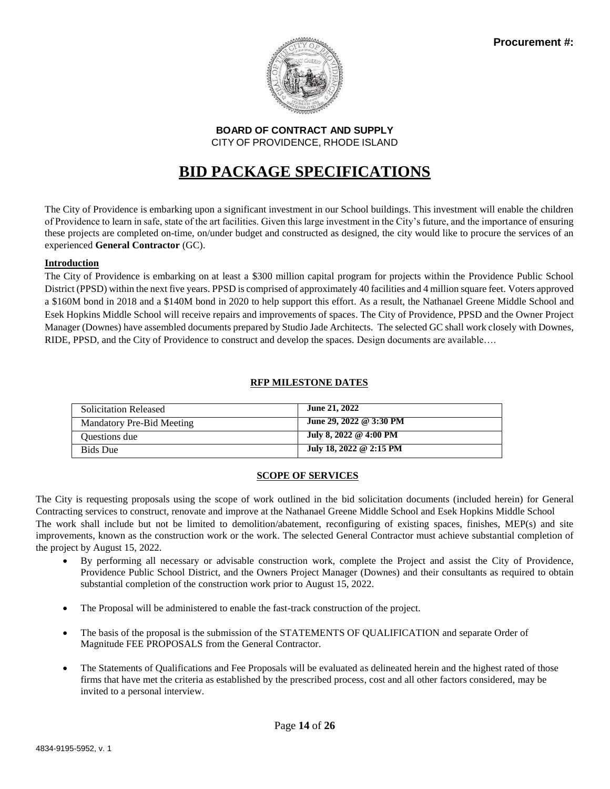

# **BID PACKAGE SPECIFICATIONS**

The City of Providence is embarking upon a significant investment in our School buildings. This investment will enable the children of Providence to learn in safe, state of the art facilities. Given this large investment in the City's future, and the importance of ensuring these projects are completed on-time, on/under budget and constructed as designed, the city would like to procure the services of an experienced **General Contractor** (GC).

### **Introduction**

The City of Providence is embarking on at least a \$300 million capital program for projects within the Providence Public School District (PPSD) within the next five years. PPSD is comprised of approximately 40 facilities and 4 million square feet. Voters approved a \$160M bond in 2018 and a \$140M bond in 2020 to help support this effort. As a result, the Nathanael Greene Middle School and Esek Hopkins Middle School will receive repairs and improvements of spaces. The City of Providence, PPSD and the Owner Project Manager (Downes) have assembled documents prepared by Studio Jade Architects. The selected GC shall work closely with Downes, RIDE, PPSD, and the City of Providence to construct and develop the spaces. Design documents are available….

### **RFP MILESTONE DATES**

| <b>Solicitation Released</b> | June 21, 2022           |
|------------------------------|-------------------------|
| Mandatory Pre-Bid Meeting    | June 29, 2022 @ 3:30 PM |
| Questions due                | July 8, 2022 @ 4:00 PM  |
| <b>Bids</b> Due              | July 18, 2022 @ 2:15 PM |

### **SCOPE OF SERVICES**

The City is requesting proposals using the scope of work outlined in the bid solicitation documents (included herein) for General Contracting services to construct, renovate and improve at the Nathanael Greene Middle School and Esek Hopkins Middle School The work shall include but not be limited to demolition/abatement, reconfiguring of existing spaces, finishes, MEP(s) and site improvements, known as the construction work or the work. The selected General Contractor must achieve substantial completion of the project by August 15, 2022.

- By performing all necessary or advisable construction work, complete the Project and assist the City of Providence, Providence Public School District, and the Owners Project Manager (Downes) and their consultants as required to obtain substantial completion of the construction work prior to August 15, 2022.
- The Proposal will be administered to enable the fast-track construction of the project.
- The basis of the proposal is the submission of the STATEMENTS OF QUALIFICATION and separate Order of Magnitude FEE PROPOSALS from the General Contractor.
- The Statements of Qualifications and Fee Proposals will be evaluated as delineated herein and the highest rated of those firms that have met the criteria as established by the prescribed process, cost and all other factors considered, may be invited to a personal interview.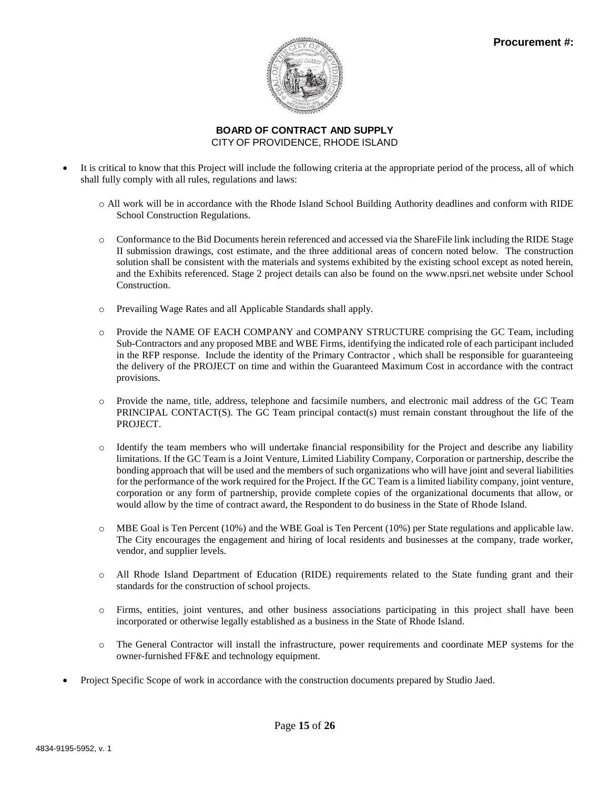

- It is critical to know that this Project will include the following criteria at the appropriate period of the process, all of which shall fully comply with all rules, regulations and laws:
	- o All work will be in accordance with the Rhode Island School Building Authority deadlines and conform with RIDE School Construction Regulations.
	- o Conformance to the Bid Documents herein referenced and accessed via the ShareFile link including the RIDE Stage II submission drawings, cost estimate, and the three additional areas of concern noted below. The construction solution shall be consistent with the materials and systems exhibited by the existing school except as noted herein, and the Exhibits referenced. Stage 2 project details can also be found on the www.npsri.net website under School Construction.
	- o Prevailing Wage Rates and all Applicable Standards shall apply.
	- o Provide the NAME OF EACH COMPANY and COMPANY STRUCTURE comprising the GC Team, including Sub-Contractors and any proposed MBE and WBE Firms, identifying the indicated role of each participant included in the RFP response. Include the identity of the Primary Contractor , which shall be responsible for guaranteeing the delivery of the PROJECT on time and within the Guaranteed Maximum Cost in accordance with the contract provisions.
	- o Provide the name, title, address, telephone and facsimile numbers, and electronic mail address of the GC Team PRINCIPAL CONTACT(S). The GC Team principal contact(s) must remain constant throughout the life of the PROJECT.
	- o Identify the team members who will undertake financial responsibility for the Project and describe any liability limitations. If the GC Team is a Joint Venture, Limited Liability Company, Corporation or partnership, describe the bonding approach that will be used and the members of such organizations who will have joint and several liabilities for the performance of the work required for the Project. If the GC Team is a limited liability company, joint venture, corporation or any form of partnership, provide complete copies of the organizational documents that allow, or would allow by the time of contract award, the Respondent to do business in the State of Rhode Island.
	- $\circ$  MBE Goal is Ten Percent (10%) and the WBE Goal is Ten Percent (10%) per State regulations and applicable law. The City encourages the engagement and hiring of local residents and businesses at the company, trade worker, vendor, and supplier levels.
	- o All Rhode Island Department of Education (RIDE) requirements related to the State funding grant and their standards for the construction of school projects.
	- o Firms, entities, joint ventures, and other business associations participating in this project shall have been incorporated or otherwise legally established as a business in the State of Rhode Island.
	- o The General Contractor will install the infrastructure, power requirements and coordinate MEP systems for the owner-furnished FF&E and technology equipment.
- Project Specific Scope of work in accordance with the construction documents prepared by Studio Jaed.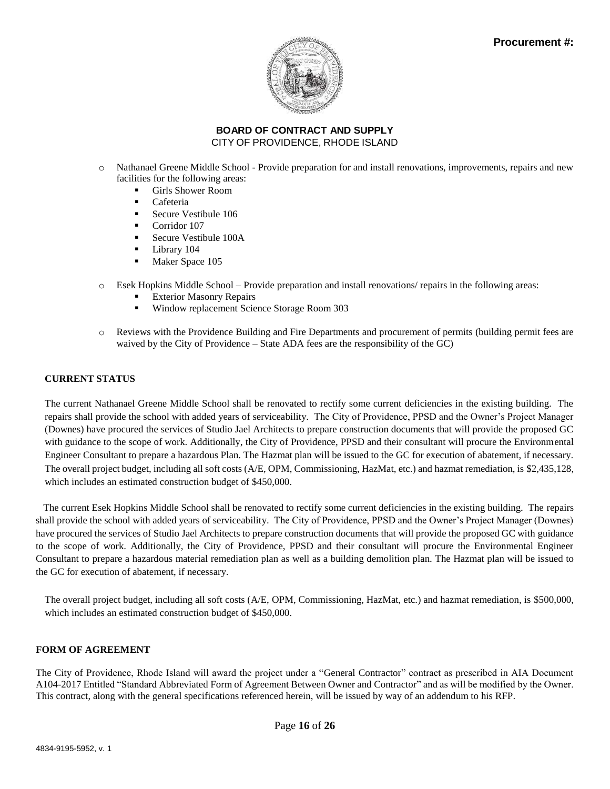

- o Nathanael Greene Middle School Provide preparation for and install renovations, improvements, repairs and new facilities for the following areas:
	- Girls Shower Room
	- Cafeteria
	- Secure Vestibule 106
	- Corridor 107
	- Secure Vestibule 100A
	- **•** Library 104
	- Maker Space 105
- o Esek Hopkins Middle School Provide preparation and install renovations/ repairs in the following areas:
	- **Exterior Masonry Repairs**
	- Window replacement Science Storage Room 303
- o Reviews with the Providence Building and Fire Departments and procurement of permits (building permit fees are waived by the City of Providence – State ADA fees are the responsibility of the GC)

### **CURRENT STATUS**

The current Nathanael Greene Middle School shall be renovated to rectify some current deficiencies in the existing building. The repairs shall provide the school with added years of serviceability. The City of Providence, PPSD and the Owner's Project Manager (Downes) have procured the services of Studio Jael Architects to prepare construction documents that will provide the proposed GC with guidance to the scope of work. Additionally, the City of Providence, PPSD and their consultant will procure the Environmental Engineer Consultant to prepare a hazardous Plan. The Hazmat plan will be issued to the GC for execution of abatement, if necessary. The overall project budget, including all soft costs (A/E, OPM, Commissioning, HazMat, etc.) and hazmat remediation, is \$2,435,128, which includes an estimated construction budget of \$450,000.

 The current Esek Hopkins Middle School shall be renovated to rectify some current deficiencies in the existing building. The repairs shall provide the school with added years of serviceability. The City of Providence, PPSD and the Owner's Project Manager (Downes) have procured the services of Studio Jael Architects to prepare construction documents that will provide the proposed GC with guidance to the scope of work. Additionally, the City of Providence, PPSD and their consultant will procure the Environmental Engineer Consultant to prepare a hazardous material remediation plan as well as a building demolition plan. The Hazmat plan will be issued to the GC for execution of abatement, if necessary.

The overall project budget, including all soft costs (A/E, OPM, Commissioning, HazMat, etc.) and hazmat remediation, is \$500,000, which includes an estimated construction budget of \$450,000.

### **FORM OF AGREEMENT**

The City of Providence, Rhode Island will award the project under a "General Contractor" contract as prescribed in AIA Document A104-2017 Entitled "Standard Abbreviated Form of Agreement Between Owner and Contractor" and as will be modified by the Owner. This contract, along with the general specifications referenced herein, will be issued by way of an addendum to his RFP.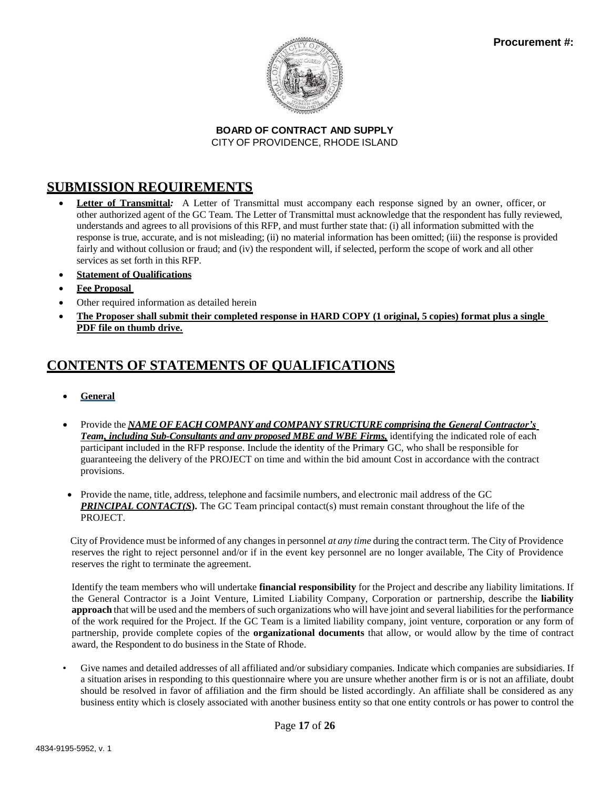

# **SUBMISSION REQUIREMENTS**

- **Letter of Transmittal***:* A Letter of Transmittal must accompany each response signed by an owner, officer, or other authorized agent of the GC Team. The Letter of Transmittal must acknowledge that the respondent has fully reviewed, understands and agrees to all provisions of this RFP, and must further state that: (i) all information submitted with the response is true, accurate, and is not misleading; (ii) no material information has been omitted; (iii) the response is provided fairly and without collusion or fraud; and (iv) the respondent will, if selected, perform the scope of work and all other services as set forth in this RFP.
- **Statement of Qualifications**
- **Fee Proposal**
- Other required information as detailed herein
- **The Proposer shall submit their completed response in HARD COPY (1 original, 5 copies) format plus a single PDF file on thumb drive.**

# **CONTENTS OF STATEMENTS OF QUALIFICATIONS**

- **General**
- Provide the *NAME OF EACH COMPANY and COMPANY STRUCTURE comprising the General Contractor's Team, including Sub-Consultants and any proposed MBE and WBE Firms,* identifying the indicated role of each participant included in the RFP response. Include the identity of the Primary GC, who shall be responsible for guaranteeing the delivery of the PROJECT on time and within the bid amount Cost in accordance with the contract provisions.
- Provide the name, title, address, telephone and facsimile numbers, and electronic mail address of the GC **PRINCIPAL CONTACT(S).** The GC Team principal contact(s) must remain constant throughout the life of the PROJECT.

 City of Providence must be informed of any changes in personnel *at any time* during the contract term. The City of Providence reserves the right to reject personnel and/or if in the event key personnel are no longer available, The City of Providence reserves the right to terminate the agreement.

Identify the team members who will undertake **financial responsibility** for the Project and describe any liability limitations. If the General Contractor is a Joint Venture, Limited Liability Company, Corporation or partnership, describe the **liability approach** that will be used and the members of such organizations who will have joint and several liabilities for the performance of the work required for the Project. If the GC Team is a limited liability company, joint venture, corporation or any form of partnership, provide complete copies of the **organizational documents** that allow, or would allow by the time of contract award, the Respondent to do business in the State of Rhode.

• Give names and detailed addresses of all affiliated and/or subsidiary companies. Indicate which companies are subsidiaries. If a situation arises in responding to this questionnaire where you are unsure whether another firm is or is not an affiliate, doubt should be resolved in favor of affiliation and the firm should be listed accordingly. An affiliate shall be considered as any business entity which is closely associated with another business entity so that one entity controls or has power to control the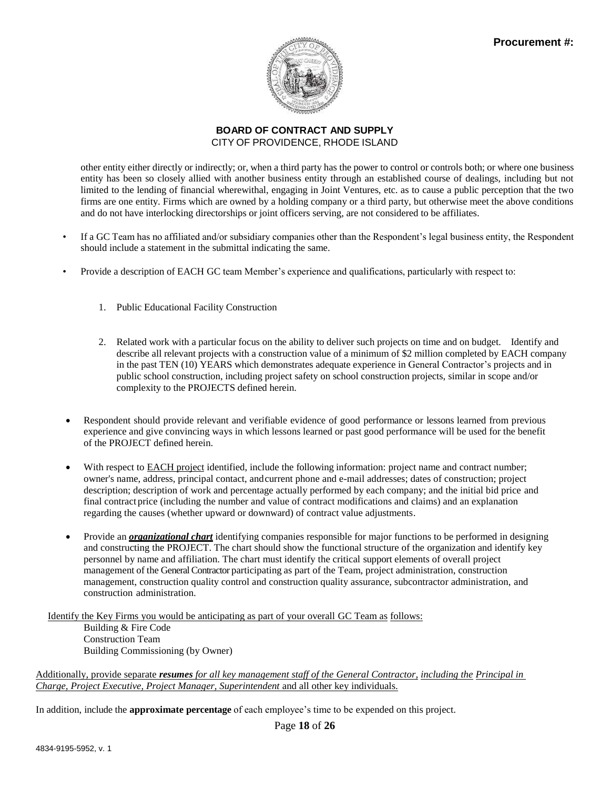

other entity either directly or indirectly; or, when a third party has the power to control or controls both; or where one business entity has been so closely allied with another business entity through an established course of dealings, including but not limited to the lending of financial wherewithal, engaging in Joint Ventures, etc. as to cause a public perception that the two firms are one entity. Firms which are owned by a holding company or a third party, but otherwise meet the above conditions and do not have interlocking directorships or joint officers serving, are not considered to be affiliates.

- If a GC Team has no affiliated and/or subsidiary companies other than the Respondent's legal business entity, the Respondent should include a statement in the submittal indicating the same.
- Provide a description of EACH GC team Member's experience and qualifications, particularly with respect to:
	- 1. Public Educational Facility Construction
	- 2. Related work with a particular focus on the ability to deliver such projects on time and on budget. Identify and describe all relevant projects with a construction value of a minimum of \$2 million completed by EACH company in the past TEN (10) YEARS which demonstrates adequate experience in General Contractor's projects and in public school construction, including project safety on school construction projects, similar in scope and/or complexity to the PROJECTS defined herein.
- Respondent should provide relevant and verifiable evidence of good performance or lessons learned from previous experience and give convincing ways in which lessons learned or past good performance will be used for the benefit of the PROJECT defined herein.
- With respect to EACH project identified, include the following information: project name and contract number; owner's name, address, principal contact, andcurrent phone and e-mail addresses; dates of construction; project description; description of work and percentage actually performed by each company; and the initial bid price and final contract price (including the number and value of contract modifications and claims) and an explanation regarding the causes (whether upward or downward) of contract value adjustments.
- Provide an *organizational chart* identifying companies responsible for major functions to be performed in designing and constructing the PROJECT. The chart should show the functional structure of the organization and identify key personnel by name and affiliation. The chart must identify the critical support elements of overall project management of the General Contractor participating as part of the Team, project administration, construction management, construction quality control and construction quality assurance, subcontractor administration, and construction administration.

Identify the Key Firms you would be anticipating as part of your overall GC Team as follows: Building & Fire Code

Construction Team Building Commissioning (by Owner)

Additionally, provide separate *resumes for all key management staff of the General Contractor, including the Principal in Charge, Project Executive, Project Manager, Superintendent* and all other key individuals.

In addition, include the **approximate percentage** of each employee's time to be expended on this project.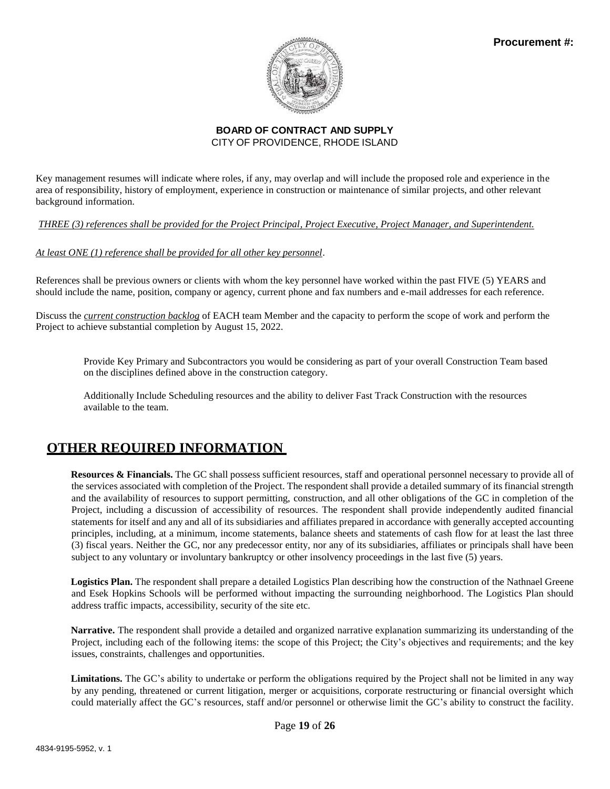

Key management resumes will indicate where roles, if any, may overlap and will include the proposed role and experience in the area of responsibility, history of employment, experience in construction or maintenance of similar projects, and other relevant background information.

*THREE (3) references shall be provided for the Project Principal, Project Executive, Project Manager, and Superintendent.*

### *At least ONE (1) reference shall be provided for all other key personnel*.

References shall be previous owners or clients with whom the key personnel have worked within the past FIVE (5) YEARS and should include the name, position, company or agency, current phone and fax numbers and e-mail addresses for each reference.

Discuss the *current construction backlog* of EACH team Member and the capacity to perform the scope of work and perform the Project to achieve substantial completion by August 15, 2022.

Provide Key Primary and Subcontractors you would be considering as part of your overall Construction Team based on the disciplines defined above in the construction category.

Additionally Include Scheduling resources and the ability to deliver Fast Track Construction with the resources available to the team.

# **OTHER REQUIRED INFORMATION**

**Resources & Financials.** The GC shall possess sufficient resources, staff and operational personnel necessary to provide all of the services associated with completion of the Project. The respondent shall provide a detailed summary of its financial strength and the availability of resources to support permitting, construction, and all other obligations of the GC in completion of the Project, including a discussion of accessibility of resources. The respondent shall provide independently audited financial statements for itself and any and all of its subsidiaries and affiliates prepared in accordance with generally accepted accounting principles, including, at a minimum, income statements, balance sheets and statements of cash flow for at least the last three (3) fiscal years. Neither the GC, nor any predecessor entity, nor any of its subsidiaries, affiliates or principals shall have been subject to any voluntary or involuntary bankruptcy or other insolvency proceedings in the last five (5) years.

**Logistics Plan.** The respondent shall prepare a detailed Logistics Plan describing how the construction of the Nathnael Greene and Esek Hopkins Schools will be performed without impacting the surrounding neighborhood. The Logistics Plan should address traffic impacts, accessibility, security of the site etc.

**Narrative.** The respondent shall provide a detailed and organized narrative explanation summarizing its understanding of the Project, including each of the following items: the scope of this Project; the City's objectives and requirements; and the key issues, constraints, challenges and opportunities.

**Limitations.** The GC's ability to undertake or perform the obligations required by the Project shall not be limited in any way by any pending, threatened or current litigation, merger or acquisitions, corporate restructuring or financial oversight which could materially affect the GC's resources, staff and/or personnel or otherwise limit the GC's ability to construct the facility.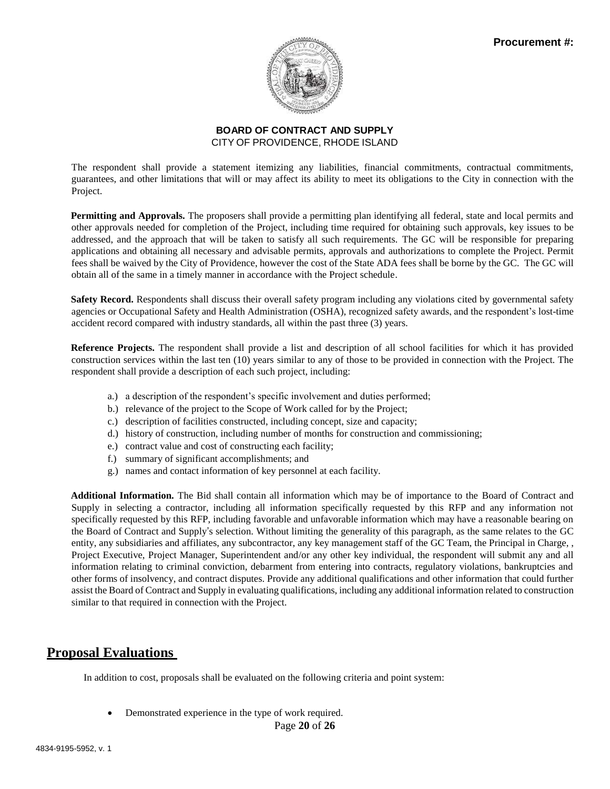

The respondent shall provide a statement itemizing any liabilities, financial commitments, contractual commitments, guarantees, and other limitations that will or may affect its ability to meet its obligations to the City in connection with the Project.

**Permitting and Approvals.** The proposers shall provide a permitting plan identifying all federal, state and local permits and other approvals needed for completion of the Project, including time required for obtaining such approvals, key issues to be addressed, and the approach that will be taken to satisfy all such requirements. The GC will be responsible for preparing applications and obtaining all necessary and advisable permits, approvals and authorizations to complete the Project. Permit fees shall be waived by the City of Providence, however the cost of the State ADA fees shall be borne by the GC. The GC will obtain all of the same in a timely manner in accordance with the Project schedule.

**Safety Record.** Respondents shall discuss their overall safety program including any violations cited by governmental safety agencies or Occupational Safety and Health Administration (OSHA), recognized safety awards, and the respondent's lost-time accident record compared with industry standards, all within the past three (3) years.

**Reference Projects.** The respondent shall provide a list and description of all school facilities for which it has provided construction services within the last ten (10) years similar to any of those to be provided in connection with the Project. The respondent shall provide a description of each such project, including:

- a.) a description of the respondent's specific involvement and duties performed;
- b.) relevance of the project to the Scope of Work called for by the Project;
- c.) description of facilities constructed, including concept, size and capacity;
- d.) history of construction, including number of months for construction and commissioning;
- e.) contract value and cost of constructing each facility;
- f.) summary of significant accomplishments; and
- g.) names and contact information of key personnel at each facility.

**Additional Information.** The Bid shall contain all information which may be of importance to the Board of Contract and Supply in selecting a contractor, including all information specifically requested by this RFP and any information not specifically requested by this RFP, including favorable and unfavorable information which may have a reasonable bearing on the Board of Contract and Supply's selection. Without limiting the generality of this paragraph, as the same relates to the GC entity, any subsidiaries and affiliates, any subcontractor, any key management staff of the GC Team, the Principal in Charge, , Project Executive, Project Manager, Superintendent and/or any other key individual, the respondent will submit any and all information relating to criminal conviction, debarment from entering into contracts, regulatory violations, bankruptcies and other forms of insolvency, and contract disputes. Provide any additional qualifications and other information that could further assist the Board of Contract and Supply in evaluating qualifications, including any additional information related to construction similar to that required in connection with the Project.

# **Proposal Evaluations**

In addition to cost, proposals shall be evaluated on the following criteria and point system:

• Demonstrated experience in the type of work required.

Page **20** of **26**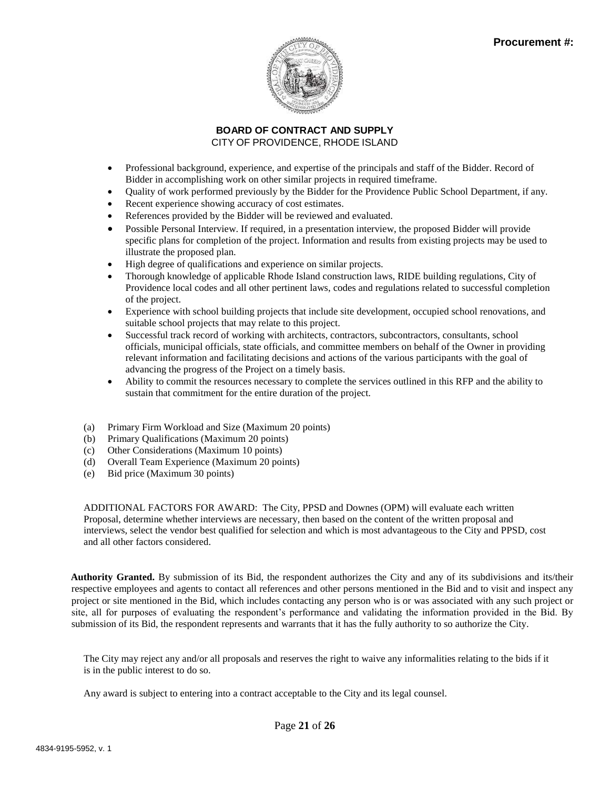

- Professional background, experience, and expertise of the principals and staff of the Bidder. Record of Bidder in accomplishing work on other similar projects in required timeframe.
- Quality of work performed previously by the Bidder for the Providence Public School Department, if any.
- Recent experience showing accuracy of cost estimates.
- References provided by the Bidder will be reviewed and evaluated.
- Possible Personal Interview. If required, in a presentation interview, the proposed Bidder will provide specific plans for completion of the project. Information and results from existing projects may be used to illustrate the proposed plan.
- High degree of qualifications and experience on similar projects.
- Thorough knowledge of applicable Rhode Island construction laws, RIDE building regulations, City of Providence local codes and all other pertinent laws, codes and regulations related to successful completion of the project.
- Experience with school building projects that include site development, occupied school renovations, and suitable school projects that may relate to this project.
- Successful track record of working with architects, contractors, subcontractors, consultants, school officials, municipal officials, state officials, and committee members on behalf of the Owner in providing relevant information and facilitating decisions and actions of the various participants with the goal of advancing the progress of the Project on a timely basis.
- Ability to commit the resources necessary to complete the services outlined in this RFP and the ability to sustain that commitment for the entire duration of the project.
- (a) Primary Firm Workload and Size (Maximum 20 points)
- (b) Primary Qualifications (Maximum 20 points)
- (c) Other Considerations (Maximum 10 points)
- (d) Overall Team Experience (Maximum 20 points)
- (e) Bid price (Maximum 30 points)

ADDITIONAL FACTORS FOR AWARD: The City, PPSD and Downes (OPM) will evaluate each written Proposal, determine whether interviews are necessary, then based on the content of the written proposal and interviews, select the vendor best qualified for selection and which is most advantageous to the City and PPSD, cost and all other factors considered.

**Authority Granted.** By submission of its Bid, the respondent authorizes the City and any of its subdivisions and its/their respective employees and agents to contact all references and other persons mentioned in the Bid and to visit and inspect any project or site mentioned in the Bid, which includes contacting any person who is or was associated with any such project or site, all for purposes of evaluating the respondent's performance and validating the information provided in the Bid. By submission of its Bid, the respondent represents and warrants that it has the fully authority to so authorize the City.

The City may reject any and/or all proposals and reserves the right to waive any informalities relating to the bids if it is in the public interest to do so.

Any award is subject to entering into a contract acceptable to the City and its legal counsel.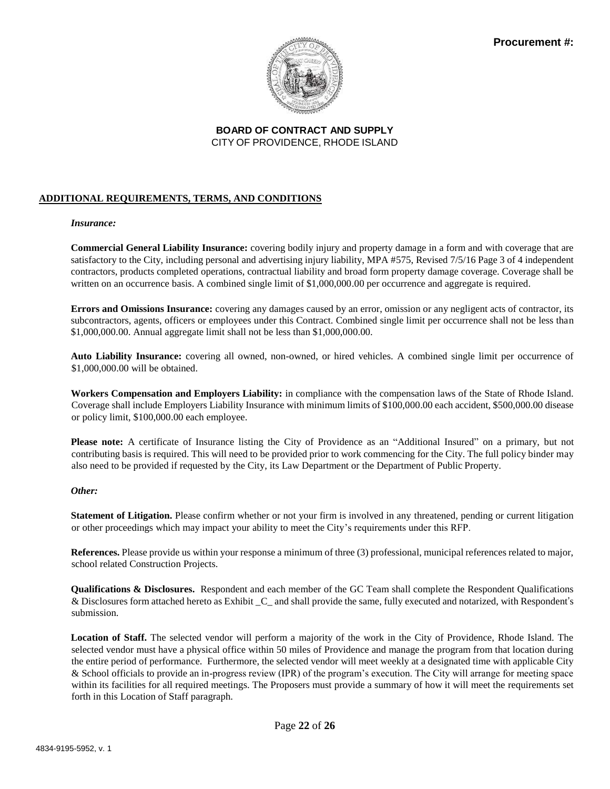

### **ADDITIONAL REQUIREMENTS, TERMS, AND CONDITIONS**

### *Insurance:*

**Commercial General Liability Insurance:** covering bodily injury and property damage in a form and with coverage that are satisfactory to the City, including personal and advertising injury liability, MPA #575, Revised 7/5/16 Page 3 of 4 independent contractors, products completed operations, contractual liability and broad form property damage coverage. Coverage shall be written on an occurrence basis. A combined single limit of \$1,000,000.00 per occurrence and aggregate is required.

**Errors and Omissions Insurance:** covering any damages caused by an error, omission or any negligent acts of contractor, its subcontractors, agents, officers or employees under this Contract. Combined single limit per occurrence shall not be less than \$1,000,000.00. Annual aggregate limit shall not be less than \$1,000,000.00.

**Auto Liability Insurance:** covering all owned, non-owned, or hired vehicles. A combined single limit per occurrence of \$1,000,000.00 will be obtained.

**Workers Compensation and Employers Liability:** in compliance with the compensation laws of the State of Rhode Island. Coverage shall include Employers Liability Insurance with minimum limits of \$100,000.00 each accident, \$500,000.00 disease or policy limit, \$100,000.00 each employee.

**Please note:** A certificate of Insurance listing the City of Providence as an "Additional Insured" on a primary, but not contributing basis is required. This will need to be provided prior to work commencing for the City. The full policy binder may also need to be provided if requested by the City, its Law Department or the Department of Public Property.

### *Other:*

**Statement of Litigation.** Please confirm whether or not your firm is involved in any threatened, pending or current litigation or other proceedings which may impact your ability to meet the City's requirements under this RFP.

**References.** Please provide us within your response a minimum of three (3) professional, municipal references related to major, school related Construction Projects.

**Qualifications & Disclosures.** Respondent and each member of the GC Team shall complete the Respondent Qualifications & Disclosures form attached hereto as Exhibit \_C\_ and shall provide the same, fully executed and notarized, with Respondent's submission.

**Location of Staff.** The selected vendor will perform a majority of the work in the City of Providence, Rhode Island. The selected vendor must have a physical office within 50 miles of Providence and manage the program from that location during the entire period of performance. Furthermore, the selected vendor will meet weekly at a designated time with applicable City & School officials to provide an in-progress review (IPR) of the program's execution. The City will arrange for meeting space within its facilities for all required meetings. The Proposers must provide a summary of how it will meet the requirements set forth in this Location of Staff paragraph.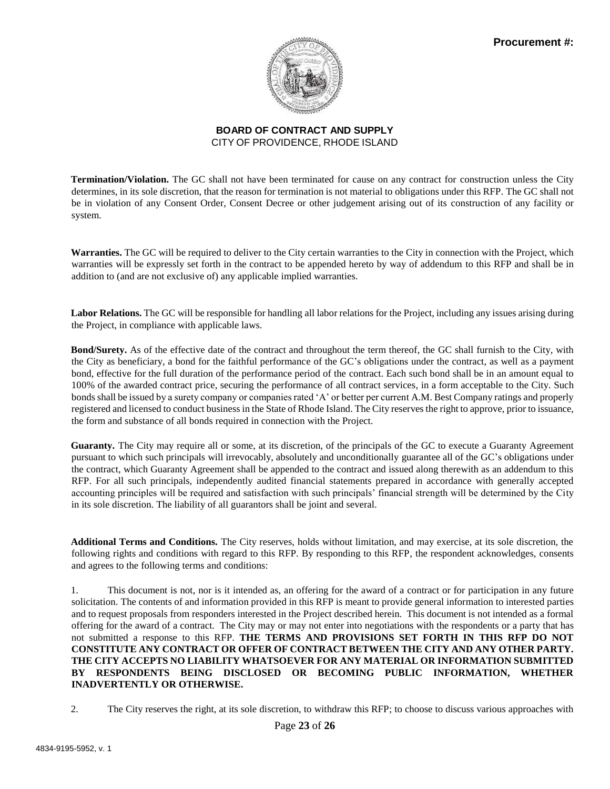

**Termination/Violation.** The GC shall not have been terminated for cause on any contract for construction unless the City determines, in its sole discretion, that the reason for termination is not material to obligations under this RFP. The GC shall not be in violation of any Consent Order, Consent Decree or other judgement arising out of its construction of any facility or system.

**Warranties.** The GC will be required to deliver to the City certain warranties to the City in connection with the Project, which warranties will be expressly set forth in the contract to be appended hereto by way of addendum to this RFP and shall be in addition to (and are not exclusive of) any applicable implied warranties.

**Labor Relations.** The GC will be responsible for handling all labor relations for the Project, including any issues arising during the Project, in compliance with applicable laws.

**Bond/Surety.** As of the effective date of the contract and throughout the term thereof, the GC shall furnish to the City, with the City as beneficiary, a bond for the faithful performance of the GC's obligations under the contract, as well as a payment bond, effective for the full duration of the performance period of the contract. Each such bond shall be in an amount equal to 100% of the awarded contract price, securing the performance of all contract services, in a form acceptable to the City. Such bondsshall be issued by a surety company or companies rated 'A' or better per current A.M. Best Company ratings and properly registered and licensed to conduct business in the State of Rhode Island. The City reserves the right to approve, prior to issuance, the form and substance of all bonds required in connection with the Project.

**Guaranty.** The City may require all or some, at its discretion, of the principals of the GC to execute a Guaranty Agreement pursuant to which such principals will irrevocably, absolutely and unconditionally guarantee all of the GC's obligations under the contract, which Guaranty Agreement shall be appended to the contract and issued along therewith as an addendum to this RFP. For all such principals, independently audited financial statements prepared in accordance with generally accepted accounting principles will be required and satisfaction with such principals' financial strength will be determined by the City in its sole discretion. The liability of all guarantors shall be joint and several.

**Additional Terms and Conditions.** The City reserves, holds without limitation, and may exercise, at its sole discretion, the following rights and conditions with regard to this RFP. By responding to this RFP, the respondent acknowledges, consents and agrees to the following terms and conditions:

1. This document is not, nor is it intended as, an offering for the award of a contract or for participation in any future solicitation. The contents of and information provided in this RFP is meant to provide general information to interested parties and to request proposals from responders interested in the Project described herein. This document is not intended as a formal offering for the award of a contract. The City may or may not enter into negotiations with the respondents or a party that has not submitted a response to this RFP. **THE TERMS AND PROVISIONS SET FORTH IN THIS RFP DO NOT CONSTITUTE ANY CONTRACT OR OFFER OF CONTRACT BETWEEN THE CITY AND ANY OTHER PARTY. THE CITY ACCEPTS NO LIABILITY WHATSOEVER FOR ANY MATERIAL OR INFORMATION SUBMITTED BY RESPONDENTS BEING DISCLOSED OR BECOMING PUBLIC INFORMATION, WHETHER INADVERTENTLY OR OTHERWISE.**

2. The City reserves the right, at its sole discretion, to withdraw this RFP; to choose to discuss various approaches with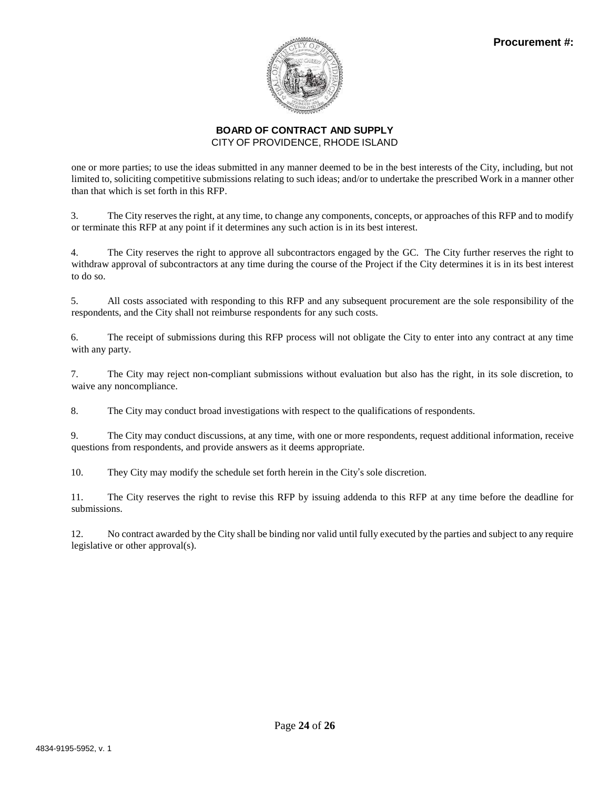

one or more parties; to use the ideas submitted in any manner deemed to be in the best interests of the City, including, but not limited to, soliciting competitive submissions relating to such ideas; and/or to undertake the prescribed Work in a manner other than that which is set forth in this RFP.

3. The City reserves the right, at any time, to change any components, concepts, or approaches of this RFP and to modify or terminate this RFP at any point if it determines any such action is in its best interest.

4. The City reserves the right to approve all subcontractors engaged by the GC. The City further reserves the right to withdraw approval of subcontractors at any time during the course of the Project if the City determines it is in its best interest to do so.

5. All costs associated with responding to this RFP and any subsequent procurement are the sole responsibility of the respondents, and the City shall not reimburse respondents for any such costs.

6. The receipt of submissions during this RFP process will not obligate the City to enter into any contract at any time with any party.

7. The City may reject non-compliant submissions without evaluation but also has the right, in its sole discretion, to waive any noncompliance.

8. The City may conduct broad investigations with respect to the qualifications of respondents.

9. The City may conduct discussions, at any time, with one or more respondents, request additional information, receive questions from respondents, and provide answers as it deems appropriate.

10. They City may modify the schedule set forth herein in the City's sole discretion.

11. The City reserves the right to revise this RFP by issuing addenda to this RFP at any time before the deadline for submissions.

12. No contract awarded by the City shall be binding nor valid until fully executed by the parties and subject to any require legislative or other approval(s).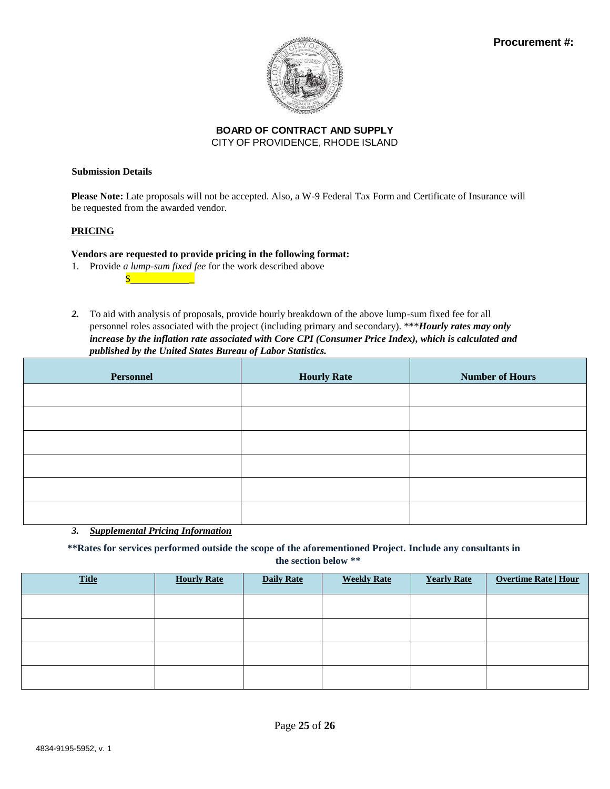

#### **Submission Details**

**Please Note:** Late proposals will not be accepted. Also, a W-9 Federal Tax Form and Certificate of Insurance will be requested from the awarded vendor.

### **PRICING**

### **Vendors are requested to provide pricing in the following format:**

- 1. Provide *a lump-sum fixed fee* for the work described above
- *2.* To aid with analysis of proposals, provide hourly breakdown of the above lump-sum fixed fee for all personnel roles associated with the project (including primary and secondary). \*\*\**Hourly rates may only increase by the inflation rate associated with Core CPI (Consumer Price Index), which is calculated and published by the United States Bureau of Labor Statistics.*

| <b>Personnel</b> | <b>Hourly Rate</b> | <b>Number of Hours</b> |  |  |
|------------------|--------------------|------------------------|--|--|
|                  |                    |                        |  |  |
|                  |                    |                        |  |  |
|                  |                    |                        |  |  |
|                  |                    |                        |  |  |
|                  |                    |                        |  |  |
|                  |                    |                        |  |  |

# *3. Supplemental Pricing Information*

**\*\*Rates for services performed outside the scope of the aforementioned Project. Include any consultants in** 

**the section below \*\***

| <b>Title</b> | <b>Hourly Rate</b> | <b>Daily Rate</b> | <b>Weekly Rate</b> | <b>Yearly Rate</b> | <b>Overtime Rate   Hour</b> |
|--------------|--------------------|-------------------|--------------------|--------------------|-----------------------------|
|              |                    |                   |                    |                    |                             |
|              |                    |                   |                    |                    |                             |
|              |                    |                   |                    |                    |                             |
|              |                    |                   |                    |                    |                             |